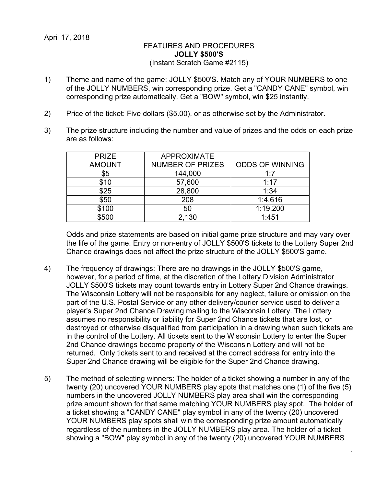## FEATURES AND PROCEDURES **JOLLY \$500'S** (Instant Scratch Game #2115)

- 1) Theme and name of the game: JOLLY \$500'S. Match any of YOUR NUMBERS to one of the JOLLY NUMBERS, win corresponding prize. Get a "CANDY CANE" symbol, win corresponding prize automatically. Get a "BOW" symbol, win \$25 instantly.
- 2) Price of the ticket: Five dollars (\$5.00), or as otherwise set by the Administrator.
- 3) The prize structure including the number and value of prizes and the odds on each prize are as follows:

| <b>PRIZE</b>  | <b>APPROXIMATE</b>      |                        |
|---------------|-------------------------|------------------------|
| <b>AMOUNT</b> | <b>NUMBER OF PRIZES</b> | <b>ODDS OF WINNING</b> |
| \$5           | 144,000                 | 1:7                    |
| \$10          | 57,600                  | 1:17                   |
| \$25          | 28,800                  | 1:34                   |
| \$50          | 208                     | 1:4,616                |
| \$100         | 50                      | 1:19,200               |
| \$500         | 2,130                   | 1:451                  |

Odds and prize statements are based on initial game prize structure and may vary over the life of the game. Entry or non-entry of JOLLY \$500'S tickets to the Lottery Super 2nd Chance drawings does not affect the prize structure of the JOLLY \$500'S game.

- 4) The frequency of drawings: There are no drawings in the JOLLY \$500'S game, however, for a period of time, at the discretion of the Lottery Division Administrator JOLLY \$500'S tickets may count towards entry in Lottery Super 2nd Chance drawings. The Wisconsin Lottery will not be responsible for any neglect, failure or omission on the part of the U.S. Postal Service or any other delivery/courier service used to deliver a player's Super 2nd Chance Drawing mailing to the Wisconsin Lottery. The Lottery assumes no responsibility or liability for Super 2nd Chance tickets that are lost, or destroyed or otherwise disqualified from participation in a drawing when such tickets are in the control of the Lottery. All tickets sent to the Wisconsin Lottery to enter the Super 2nd Chance drawings become property of the Wisconsin Lottery and will not be returned. Only tickets sent to and received at the correct address for entry into the Super 2nd Chance drawing will be eligible for the Super 2nd Chance drawing.
- 5) The method of selecting winners: The holder of a ticket showing a number in any of the twenty (20) uncovered YOUR NUMBERS play spots that matches one (1) of the five (5) numbers in the uncovered JOLLY NUMBERS play area shall win the corresponding prize amount shown for that same matching YOUR NUMBERS play spot. The holder of a ticket showing a "CANDY CANE" play symbol in any of the twenty (20) uncovered YOUR NUMBERS play spots shall win the corresponding prize amount automatically regardless of the numbers in the JOLLY NUMBERS play area. The holder of a ticket showing a "BOW" play symbol in any of the twenty (20) uncovered YOUR NUMBERS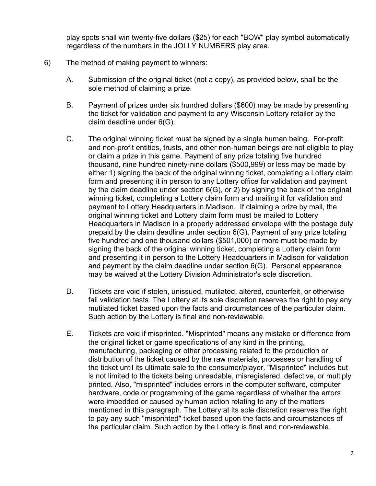play spots shall win twenty-five dollars (\$25) for each "BOW" play symbol automatically regardless of the numbers in the JOLLY NUMBERS play area.

- 6) The method of making payment to winners:
	- A. Submission of the original ticket (not a copy), as provided below, shall be the sole method of claiming a prize.
	- B. Payment of prizes under six hundred dollars (\$600) may be made by presenting the ticket for validation and payment to any Wisconsin Lottery retailer by the claim deadline under 6(G).
	- C. The original winning ticket must be signed by a single human being. For-profit and non-profit entities, trusts, and other non-human beings are not eligible to play or claim a prize in this game. Payment of any prize totaling five hundred thousand, nine hundred ninety-nine dollars (\$500,999) or less may be made by either 1) signing the back of the original winning ticket, completing a Lottery claim form and presenting it in person to any Lottery office for validation and payment by the claim deadline under section 6(G), or 2) by signing the back of the original winning ticket, completing a Lottery claim form and mailing it for validation and payment to Lottery Headquarters in Madison. If claiming a prize by mail, the original winning ticket and Lottery claim form must be mailed to Lottery Headquarters in Madison in a properly addressed envelope with the postage duly prepaid by the claim deadline under section 6(G). Payment of any prize totaling five hundred and one thousand dollars (\$501,000) or more must be made by signing the back of the original winning ticket, completing a Lottery claim form and presenting it in person to the Lottery Headquarters in Madison for validation and payment by the claim deadline under section 6(G). Personal appearance may be waived at the Lottery Division Administrator's sole discretion.
	- D. Tickets are void if stolen, unissued, mutilated, altered, counterfeit, or otherwise fail validation tests. The Lottery at its sole discretion reserves the right to pay any mutilated ticket based upon the facts and circumstances of the particular claim. Such action by the Lottery is final and non-reviewable.
	- E. Tickets are void if misprinted. "Misprinted" means any mistake or difference from the original ticket or game specifications of any kind in the printing, manufacturing, packaging or other processing related to the production or distribution of the ticket caused by the raw materials, processes or handling of the ticket until its ultimate sale to the consumer/player. "Misprinted" includes but is not limited to the tickets being unreadable, misregistered, defective, or multiply printed. Also, "misprinted" includes errors in the computer software, computer hardware, code or programming of the game regardless of whether the errors were imbedded or caused by human action relating to any of the matters mentioned in this paragraph. The Lottery at its sole discretion reserves the right to pay any such "misprinted" ticket based upon the facts and circumstances of the particular claim. Such action by the Lottery is final and non-reviewable.